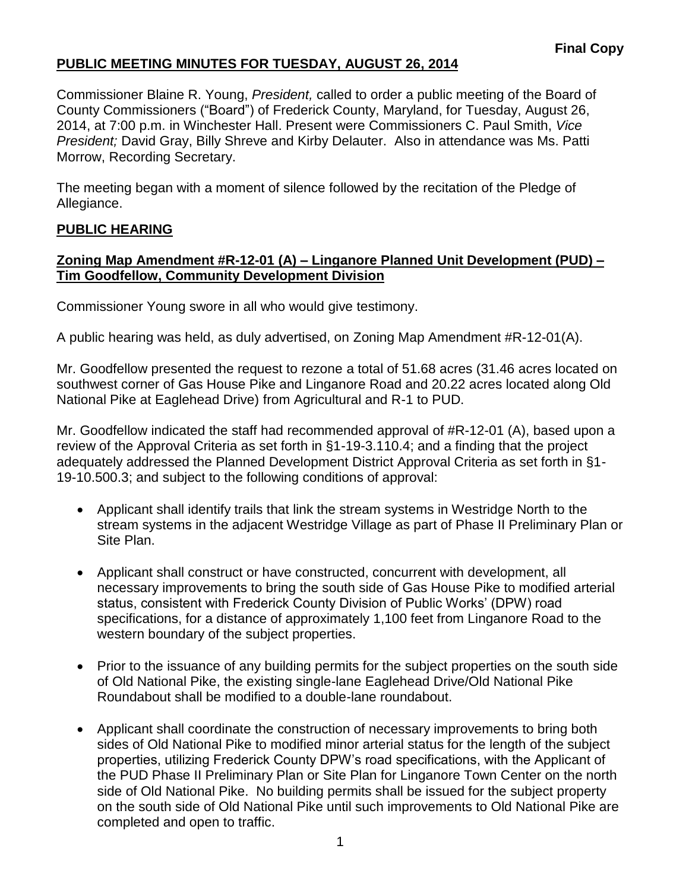# **PUBLIC MEETING MINUTES FOR TUESDAY, AUGUST 26, 2014**

Commissioner Blaine R. Young, *President,* called to order a public meeting of the Board of County Commissioners ("Board") of Frederick County, Maryland, for Tuesday, August 26, 2014, at 7:00 p.m. in Winchester Hall. Present were Commissioners C. Paul Smith, *Vice President;* David Gray, Billy Shreve and Kirby Delauter. Also in attendance was Ms. Patti Morrow, Recording Secretary.

The meeting began with a moment of silence followed by the recitation of the Pledge of Allegiance.

## **PUBLIC HEARING**

#### **Zoning Map Amendment #R-12-01 (A) – Linganore Planned Unit Development (PUD) – Tim Goodfellow, Community Development Division**

Commissioner Young swore in all who would give testimony.

A public hearing was held, as duly advertised, on Zoning Map Amendment #R-12-01(A).

Mr. Goodfellow presented the request to rezone a total of 51.68 acres (31.46 acres located on southwest corner of Gas House Pike and Linganore Road and 20.22 acres located along Old National Pike at Eaglehead Drive) from Agricultural and R-1 to PUD.

Mr. Goodfellow indicated the staff had recommended approval of #R-12-01 (A), based upon a review of the Approval Criteria as set forth in §1-19-3.110.4; and a finding that the project adequately addressed the Planned Development District Approval Criteria as set forth in §1- 19-10.500.3; and subject to the following conditions of approval:

- Applicant shall identify trails that link the stream systems in Westridge North to the stream systems in the adjacent Westridge Village as part of Phase II Preliminary Plan or Site Plan.
- Applicant shall construct or have constructed, concurrent with development, all necessary improvements to bring the south side of Gas House Pike to modified arterial status, consistent with Frederick County Division of Public Works' (DPW) road specifications, for a distance of approximately 1,100 feet from Linganore Road to the western boundary of the subject properties.
- Prior to the issuance of any building permits for the subject properties on the south side of Old National Pike, the existing single-lane Eaglehead Drive/Old National Pike Roundabout shall be modified to a double-lane roundabout.
- Applicant shall coordinate the construction of necessary improvements to bring both sides of Old National Pike to modified minor arterial status for the length of the subject properties, utilizing Frederick County DPW's road specifications, with the Applicant of the PUD Phase II Preliminary Plan or Site Plan for Linganore Town Center on the north side of Old National Pike. No building permits shall be issued for the subject property on the south side of Old National Pike until such improvements to Old National Pike are completed and open to traffic.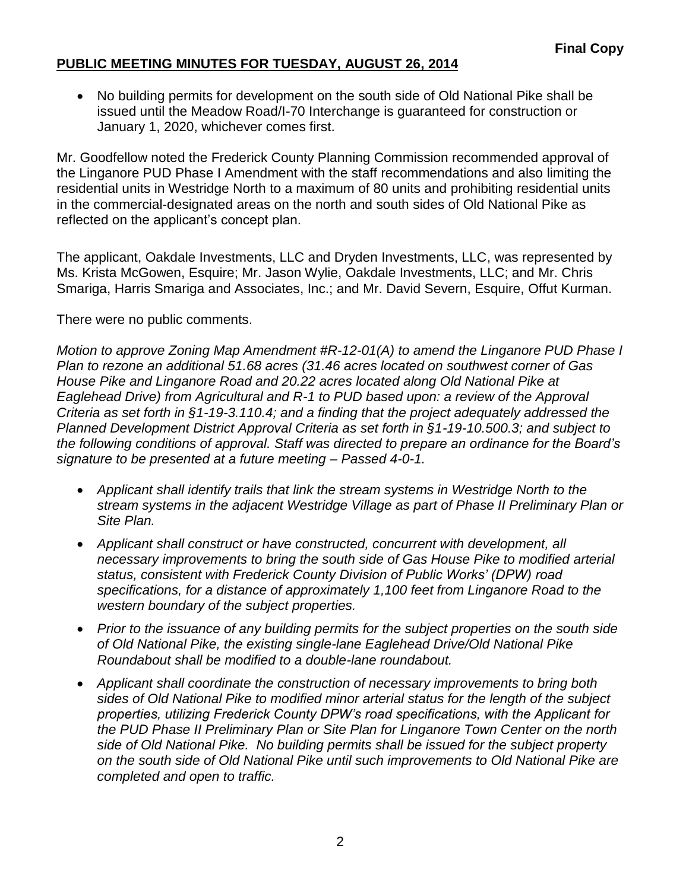# **PUBLIC MEETING MINUTES FOR TUESDAY, AUGUST 26, 2014**

 No building permits for development on the south side of Old National Pike shall be issued until the Meadow Road/I-70 Interchange is guaranteed for construction or January 1, 2020, whichever comes first.

Mr. Goodfellow noted the Frederick County Planning Commission recommended approval of the Linganore PUD Phase I Amendment with the staff recommendations and also limiting the residential units in Westridge North to a maximum of 80 units and prohibiting residential units in the commercial-designated areas on the north and south sides of Old National Pike as reflected on the applicant's concept plan.

The applicant, Oakdale Investments, LLC and Dryden Investments, LLC, was represented by Ms. Krista McGowen, Esquire; Mr. Jason Wylie, Oakdale Investments, LLC; and Mr. Chris Smariga, Harris Smariga and Associates, Inc.; and Mr. David Severn, Esquire, Offut Kurman.

There were no public comments.

*Motion to approve Zoning Map Amendment #R-12-01(A) to amend the Linganore PUD Phase I Plan to rezone an additional 51.68 acres (31.46 acres located on southwest corner of Gas House Pike and Linganore Road and 20.22 acres located along Old National Pike at Eaglehead Drive) from Agricultural and R-1 to PUD based upon: a review of the Approval Criteria as set forth in §1-19-3.110.4; and a finding that the project adequately addressed the Planned Development District Approval Criteria as set forth in §1-19-10.500.3; and subject to the following conditions of approval. Staff was directed to prepare an ordinance for the Board's signature to be presented at a future meeting – Passed 4-0-1.*

- *Applicant shall identify trails that link the stream systems in Westridge North to the stream systems in the adjacent Westridge Village as part of Phase II Preliminary Plan or Site Plan.*
- *Applicant shall construct or have constructed, concurrent with development, all necessary improvements to bring the south side of Gas House Pike to modified arterial status, consistent with Frederick County Division of Public Works' (DPW) road specifications, for a distance of approximately 1,100 feet from Linganore Road to the western boundary of the subject properties.*
- *Prior to the issuance of any building permits for the subject properties on the south side of Old National Pike, the existing single-lane Eaglehead Drive/Old National Pike Roundabout shall be modified to a double-lane roundabout.*
- *Applicant shall coordinate the construction of necessary improvements to bring both sides of Old National Pike to modified minor arterial status for the length of the subject properties, utilizing Frederick County DPW's road specifications, with the Applicant for the PUD Phase II Preliminary Plan or Site Plan for Linganore Town Center on the north side of Old National Pike. No building permits shall be issued for the subject property on the south side of Old National Pike until such improvements to Old National Pike are completed and open to traffic.*